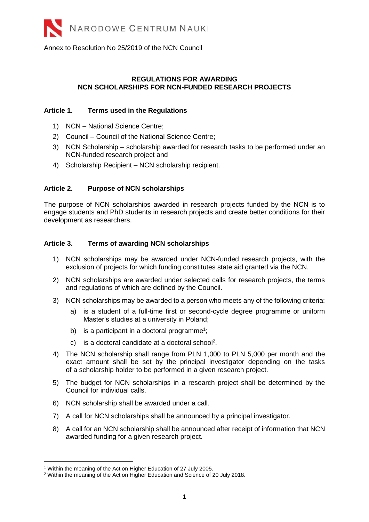Annex to Resolution No 25/2019 of the NCN Council

# **REGULATIONS FOR AWARDING NCN SCHOLARSHIPS FOR NCN-FUNDED RESEARCH PROJECTS**

### **Article 1. Terms used in the Regulations**

- 1) NCN National Science Centre;
- 2) Council Council of the National Science Centre;
- 3) NCN Scholarship scholarship awarded for research tasks to be performed under an NCN-funded research project and
- 4) Scholarship Recipient NCN scholarship recipient.

# **Article 2. Purpose of NCN scholarships**

The purpose of NCN scholarships awarded in research projects funded by the NCN is to engage students and PhD students in research projects and create better conditions for their development as researchers.

# **Article 3. Terms of awarding NCN scholarships**

- 1) NCN scholarships may be awarded under NCN-funded research projects, with the exclusion of projects for which funding constitutes state aid granted via the NCN.
- 2) NCN scholarships are awarded under selected calls for research projects, the terms and regulations of which are defined by the Council.
- 3) NCN scholarships may be awarded to a person who meets any of the following criteria:
	- a) is a student of a full-time first or second-cycle degree programme or uniform Master's studies at a university in Poland;
	- b) is a participant in a doctoral programme<sup>1</sup>;
	- c) is a doctoral candidate at a doctoral school<sup>2</sup>.
- 4) The NCN scholarship shall range from PLN 1,000 to PLN 5,000 per month and the exact amount shall be set by the principal investigator depending on the tasks of a scholarship holder to be performed in a given research project.
- 5) The budget for NCN scholarships in a research project shall be determined by the Council for individual calls.
- 6) NCN scholarship shall be awarded under a call.
- 7) A call for NCN scholarships shall be announced by a principal investigator.
- 8) A call for an NCN scholarship shall be announced after receipt of information that NCN awarded funding for a given research project.

 $\overline{a}$ <sup>1</sup> Within the meaning of the Act on Higher Education of 27 July 2005.

<sup>&</sup>lt;sup>2</sup> Within the meaning of the Act on Higher Education and Science of 20 July 2018.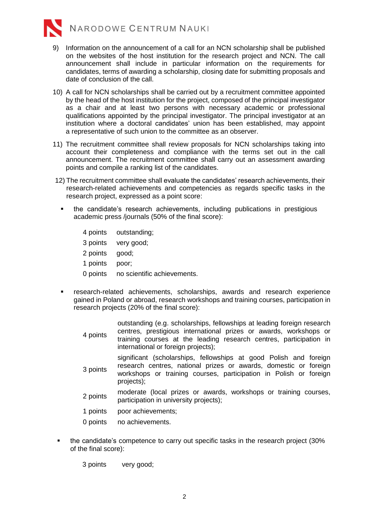

- 9) Information on the announcement of a call for an NCN scholarship shall be published on the websites of the host institution for the research project and NCN. The call announcement shall include in particular information on the requirements for candidates, terms of awarding a scholarship, closing date for submitting proposals and date of conclusion of the call.
- 10) A call for NCN scholarships shall be carried out by a recruitment committee appointed by the head of the host institution for the project, composed of the principal investigator as a chair and at least two persons with necessary academic or professional qualifications appointed by the principal investigator. The principal investigator at an institution where a doctoral candidates' union has been established, may appoint a representative of such union to the committee as an observer.
- 11) The recruitment committee shall review proposals for NCN scholarships taking into account their completeness and compliance with the terms set out in the call announcement. The recruitment committee shall carry out an assessment awarding points and compile a ranking list of the candidates.
- 12) The recruitment committee shall evaluate the candidates' research achievements, their research-related achievements and competencies as regards specific tasks in the research project, expressed as a point score:
	- the candidate's research achievements, including publications in prestigious academic press /journals (50% of the final score):
		- 4 points outstanding;
		- 3 points very good;
		- 2 points good;
		- 1 points poor;
		- 0 points no scientific achievements.
	- research-related achievements, scholarships, awards and research experience gained in Poland or abroad, research workshops and training courses, participation in research projects (20% of the final score):
		- 4 points outstanding (e.g. scholarships, fellowships at leading foreign research centres, prestigious international prizes or awards, workshops or training courses at the leading research centres, participation in international or foreign projects); significant (scholarships, fellowships at good Polish and foreign
		- 3 points research centres, national prizes or awards, domestic or foreign workshops or training courses, participation in Polish or foreign projects);
		- 2 points moderate (local prizes or awards, workshops or training courses, participation in university projects);
		- 1 points poor achievements;
		- 0 points no achievements.
- the candidate's competence to carry out specific tasks in the research project (30% of the final score):

3 points very good;